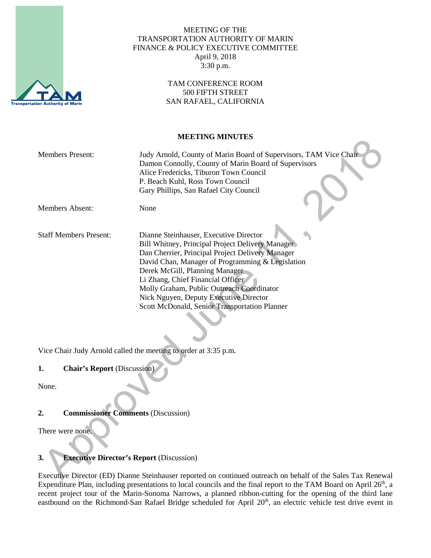

#### MEETING OF THE TRANSPORTATION AUTHORITY OF MARIN FINANCE & POLICY EXECUTIVE COMMITTEE April 9, 2018 3:30 p.m.

#### TAM CONFERENCE ROOM 500 FIFTH STREET SAN RAFAEL, CALIFORNIA

#### **MEETING MINUTES**

| <b>Members Present:</b>       | Judy Arnold, County of Marin Board of Supervisors, TAM Vice Chair<br>Damon Connolly, County of Marin Board of Supervisors<br>Alice Fredericks, Tiburon Town Council<br>P. Beach Kuhl, Ross Town Council<br>Gary Phillips, San Rafael City Council                                                                                                                                                                 |
|-------------------------------|-------------------------------------------------------------------------------------------------------------------------------------------------------------------------------------------------------------------------------------------------------------------------------------------------------------------------------------------------------------------------------------------------------------------|
| Members Absent:               | None                                                                                                                                                                                                                                                                                                                                                                                                              |
| <b>Staff Members Present:</b> | Dianne Steinhauser, Executive Director<br>Bill Whitney, Principal Project Delivery Manager<br>Dan Cherrier, Principal Project Delivery Manager<br>David Chan, Manager of Programming & Legislation<br>Derek McGill, Planning Manager<br>Li Zhang, Chief Financial Officer<br>Molly Graham, Public Outreach Coordinator<br>Nick Nguyen, Deputy Executive Director<br>Scott McDonald, Senior Transportation Planner |

Vice Chair Judy Arnold called the meeting to order at 3:35 p.m.

# **1. Chair's Report** (Discussion)

None.

### **2. Commissioner Comments** (Discussion)

There were none.

# **3. Executive Director's Report** (Discussion)

Executive Director (ED) Dianne Steinhauser reported on continued outreach on behalf of the Sales Tax Renewal Expenditure Plan, including presentations to local councils and the final report to the TAM Board on April 26<sup>th</sup>, a recent project tour of the Marin-Sonoma Narrows, a planned ribbon-cutting for the opening of the third lane eastbound on the Richmond-San Rafael Bridge scheduled for April 20<sup>th</sup>, an electric vehicle test drive event in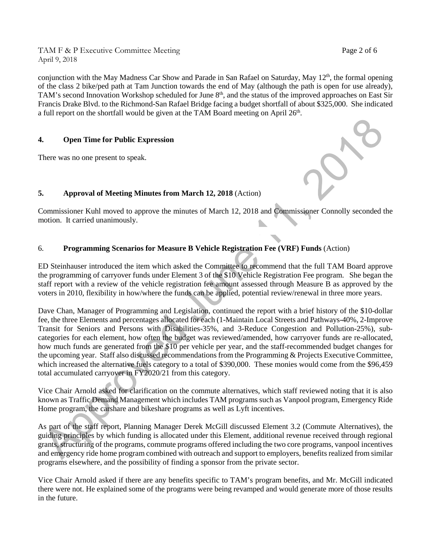TAM F & P Executive Committee Meeting Page 2 of 6 April 9, 2018

conjunction with the May Madness Car Show and Parade in San Rafael on Saturday, May 12<sup>th</sup>, the formal opening of the class 2 bike/ped path at Tam Junction towards the end of May (although the path is open for use already), TAM's second Innovation Workshop scheduled for June 8<sup>th</sup>, and the status of the improved approaches on East Sir Francis Drake Blvd. to the Richmond-San Rafael Bridge facing a budget shortfall of about \$325,000. She indicated a full report on the shortfall would be given at the TAM Board meeting on April  $26<sup>th</sup>$ .

## **4. Open Time for Public Expression**

There was no one present to speak.

# **5. Approval of Meeting Minutes from March 12, 2018** (Action)

Commissioner Kuhl moved to approve the minutes of March 12, 2018 and Commissioner Connolly seconded the motion. It carried unanimously. ١.

# 6. **Programming Scenarios for Measure B Vehicle Registration Fee (VRF) Funds** (Action)

ED Steinhauser introduced the item which asked the Committee to recommend that the full TAM Board approve the programming of carryover funds under Element 3 of the \$10 Vehicle Registration Fee program. She began the staff report with a review of the vehicle registration fee amount assessed through Measure B as approved by the voters in 2010, flexibility in how/where the funds can be applied, potential review/renewal in three more years.

Dave Chan, Manager of Programming and Legislation, continued the report with a brief history of the \$10-dollar fee, the three Elements and percentages allocated for each (1-Maintain Local Streets and Pathways-40%, 2-Improve Transit for Seniors and Persons with Disabilities-35%, and 3-Reduce Congestion and Pollution-25%), subcategories for each element, how often the budget was reviewed/amended, how carryover funds are re-allocated, how much funds are generated from the \$10 per vehicle per year, and the staff-recommended budget changes for the upcoming year. Staff also discussed recommendations from the Programming & Projects Executive Committee, which increased the alternative fuels category to a total of \$390,000. These monies would come from the \$96,459 total accumulated carryover in FY2020/21 from this category.

Vice Chair Arnold asked for clarification on the commute alternatives, which staff reviewed noting that it is also known as Traffic Demand Management which includes TAM programs such as Vanpool program, Emergency Ride Home program, the carshare and bikeshare programs as well as Lyft incentives.

As part of the staff report, Planning Manager Derek McGill discussed Element 3.2 (Commute Alternatives), the guiding principles by which funding is allocated under this Element, additional revenue received through regional grants, structuring of the programs, commute programs offered including the two core programs, vanpool incentives and emergency ride home program combined with outreach and support to employers, benefits realized from similar programs elsewhere, and the possibility of finding a sponsor from the private sector.

Vice Chair Arnold asked if there are any benefits specific to TAM's program benefits, and Mr. McGill indicated there were not. He explained some of the programs were being revamped and would generate more of those results in the future.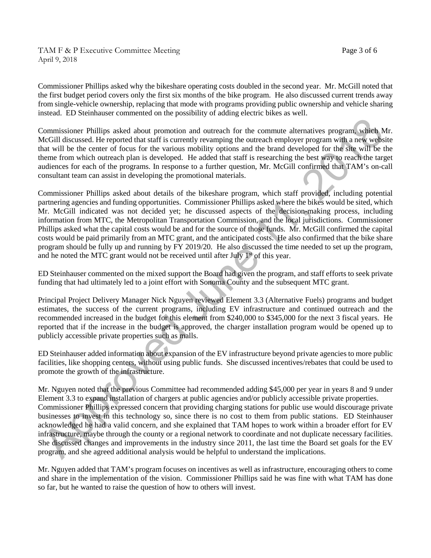TAM F & P Executive Committee Meeting Page 3 of 6 April 9, 2018

Commissioner Phillips asked why the bikeshare operating costs doubled in the second year. Mr. McGill noted that the first budget period covers only the first six months of the bike program. He also discussed current trends away from single-vehicle ownership, replacing that mode with programs providing public ownership and vehicle sharing instead. ED Steinhauser commented on the possibility of adding electric bikes as well.

Commissioner Phillips asked about promotion and outreach for the commute alternatives program, which Mr. McGill discussed. He reported that staff is currently revamping the outreach employer program with a new website that will be the center of focus for the various mobility options and the brand developed for the site will be the theme from which outreach plan is developed. He added that staff is researching the best way to reach the target audiences for each of the programs. In response to a further question, Mr. McGill confirmed that TAM's on-call consultant team can assist in developing the promotional materials.

Commissioner Phillips asked about details of the bikeshare program, which staff provided, including potential partnering agencies and funding opportunities. Commissioner Phillips asked where the bikes would be sited, which Mr. McGill indicated was not decided yet; he discussed aspects of the decision-making process, including information from MTC, the Metropolitan Transportation Commission, and the local jurisdictions. Commissioner Phillips asked what the capital costs would be and for the source of those funds. Mr. McGill confirmed the capital costs would be paid primarily from an MTC grant, and the anticipated costs. He also confirmed that the bike share program should be fully up and running by FY 2019/20. He also discussed the time needed to set up the program, and he noted the MTC grant would not be received until after July 1<sup>st</sup> of this year.

ED Steinhauser commented on the mixed support the Board had given the program, and staff efforts to seek private funding that had ultimately led to a joint effort with Sonoma County and the subsequent MTC grant.

Principal Project Delivery Manager Nick Nguyen reviewed Element 3.3 (Alternative Fuels) programs and budget estimates, the success of the current programs, including EV infrastructure and continued outreach and the recommended increased in the budget for this element from \$240,000 to \$345,000 for the next 3 fiscal years. He reported that if the increase in the budget is approved, the charger installation program would be opened up to publicly accessible private properties such as malls.

ED Steinhauser added information about expansion of the EV infrastructure beyond private agencies to more public facilities, like shopping centers, without using public funds. She discussed incentives/rebates that could be used to promote the growth of the infrastructure.

Mr. Nguyen noted that the previous Committee had recommended adding \$45,000 per year in years 8 and 9 under Element 3.3 to expand installation of chargers at public agencies and/or publicly accessible private properties. Commissioner Phillips expressed concern that providing charging stations for public use would discourage private businesses to invest in this technology so, since there is no cost to them from public stations. ED Steinhauser acknowledged he had a valid concern, and she explained that TAM hopes to work within a broader effort for EV infrastructure, maybe through the county or a regional network to coordinate and not duplicate necessary facilities. She discussed changes and improvements in the industry since 2011, the last time the Board set goals for the EV program, and she agreed additional analysis would be helpful to understand the implications.

Mr. Nguyen added that TAM's program focuses on incentives as well as infrastructure, encouraging others to come and share in the implementation of the vision. Commissioner Phillips said he was fine with what TAM has done so far, but he wanted to raise the question of how to others will invest.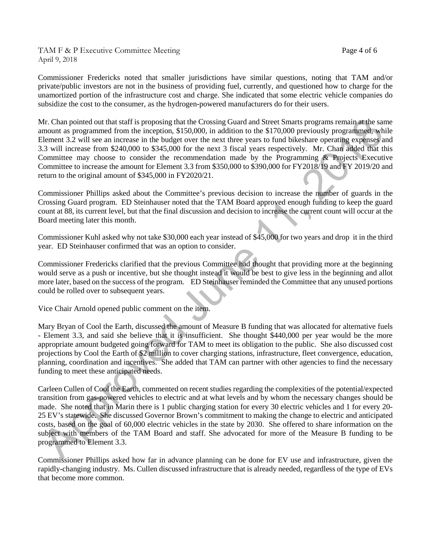TAM F & P Executive Committee Meeting TAM F & P Executive Committee Meeting April 9, 2018

Commissioner Fredericks noted that smaller jurisdictions have similar questions, noting that TAM and/or private/public investors are not in the business of providing fuel, currently, and questioned how to charge for the unamortized portion of the infrastructure cost and charge. She indicated that some electric vehicle companies do subsidize the cost to the consumer, as the hydrogen-powered manufacturers do for their users.

Mr. Chan pointed out that staff is proposing that the Crossing Guard and Street Smarts programs remain at the same amount as programmed from the inception, \$150,000, in addition to the \$170,000 previously programmed, while Element 3.2 will see an increase in the budget over the next three years to fund bikeshare operating expenses and 3.3 will increase from \$240,000 to \$345,000 for the next 3 fiscal years respectively. Mr. Chan added that this Committee may choose to consider the recommendation made by the Programming & Projects Executive Committee to increase the amount for Element 3.3 from \$350,000 to \$390,000 for FY2018/19 and FY 2019/20 and return to the original amount of \$345,000 in FY2020/21.

Commissioner Phillips asked about the Committee's previous decision to increase the number of guards in the Crossing Guard program. ED Steinhauser noted that the TAM Board approved enough funding to keep the guard count at 88, its current level, but that the final discussion and decision to increase the current count will occur at the Board meeting later this month.

Commissioner Kuhl asked why not take \$30,000 each year instead of \$45,000 for two years and drop it in the third year. ED Steinhauser confirmed that was an option to consider.

Commissioner Fredericks clarified that the previous Committee had thought that providing more at the beginning would serve as a push or incentive, but she thought instead it would be best to give less in the beginning and allot more later, based on the success of the program. ED Steinhauser reminded the Committee that any unused portions could be rolled over to subsequent years.

Vice Chair Arnold opened public comment on the item.

Mary Bryan of Cool the Earth, discussed the amount of Measure B funding that was allocated for alternative fuels - Element 3.3, and said she believe that it is insufficient. She thought \$440,000 per year would be the more appropriate amount budgeted going forward for TAM to meet its obligation to the public. She also discussed cost projections by Cool the Earth of \$2 million to cover charging stations, infrastructure, fleet convergence, education, planning, coordination and incentives. She added that TAM can partner with other agencies to find the necessary funding to meet these anticipated needs.

Carleen Cullen of Cool the Earth, commented on recent studies regarding the complexities of the potential/expected transition from gas-powered vehicles to electric and at what levels and by whom the necessary changes should be made. She noted that in Marin there is 1 public charging station for every 30 electric vehicles and 1 for every 20- 25 EV's statewide. She discussed Governor Brown's commitment to making the change to electric and anticipated costs, based on the goal of 60,000 electric vehicles in the state by 2030. She offered to share information on the subject with members of the TAM Board and staff. She advocated for more of the Measure B funding to be programmed to Element 3.3.

Commissioner Phillips asked how far in advance planning can be done for EV use and infrastructure, given the rapidly-changing industry. Ms. Cullen discussed infrastructure that is already needed, regardless of the type of EVs that become more common.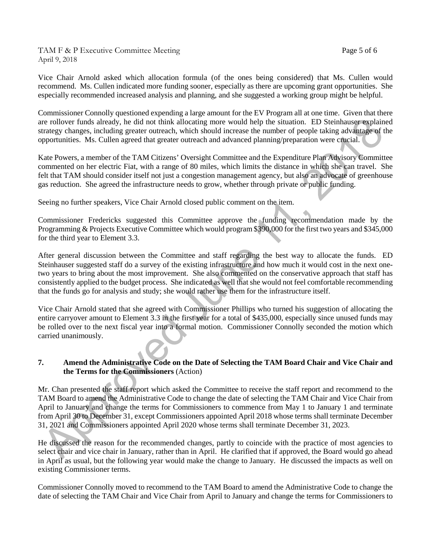TAM F & P Executive Committee Meeting Page 5 of 6 April 9, 2018

Vice Chair Arnold asked which allocation formula (of the ones being considered) that Ms. Cullen would recommend. Ms. Cullen indicated more funding sooner, especially as there are upcoming grant opportunities. She especially recommended increased analysis and planning, and she suggested a working group might be helpful.

Commissioner Connolly questioned expending a large amount for the EV Program all at one time. Given that there are rollover funds already, he did not think allocating more would help the situation. ED Steinhauser explained strategy changes, including greater outreach, which should increase the number of people taking advantage of the opportunities. Ms. Cullen agreed that greater outreach and advanced planning/preparation were crucial.

Kate Powers, a member of the TAM Citizens' Oversight Committee and the Expenditure Plan Advisory Committee commented on her electric Fiat, with a range of 80 miles, which limits the distance in which she can travel. She felt that TAM should consider itself not just a congestion management agency, but also an advocate of greenhouse gas reduction. She agreed the infrastructure needs to grow, whether through private or public funding.

Seeing no further speakers, Vice Chair Arnold closed public comment on the item.

Commissioner Fredericks suggested this Committee approve the funding recommendation made by the Programming & Projects Executive Committee which would program \$390,000 for the first two years and \$345,000 for the third year to Element 3.3.

After general discussion between the Committee and staff regarding the best way to allocate the funds. ED Steinhauser suggested staff do a survey of the existing infrastructure and how much it would cost in the next onetwo years to bring about the most improvement. She also commented on the conservative approach that staff has consistently applied to the budget process. She indicated as well that she would not feel comfortable recommending that the funds go for analysis and study; she would rather use them for the infrastructure itself.

Vice Chair Arnold stated that she agreed with Commissioner Phillips who turned his suggestion of allocating the entire carryover amount to Element 3.3 in the first year for a total of \$435,000, especially since unused funds may be rolled over to the next fiscal year into a formal motion. Commissioner Connolly seconded the motion which carried unanimously.

### **7. Amend the Administrative Code on the Date of Selecting the TAM Board Chair and Vice Chair and the Terms for the Commissioners** (Action)

Mr. Chan presented the staff report which asked the Committee to receive the staff report and recommend to the TAM Board to amend the Administrative Code to change the date of selecting the TAM Chair and Vice Chair from April to January and change the terms for Commissioners to commence from May 1 to January 1 and terminate from April 30 to December 31, except Commissioners appointed April 2018 whose terms shall terminate December 31, 2021 and Commissioners appointed April 2020 whose terms shall terminate December 31, 2023.

He discussed the reason for the recommended changes, partly to coincide with the practice of most agencies to select chair and vice chair in January, rather than in April. He clarified that if approved, the Board would go ahead in April as usual, but the following year would make the change to January. He discussed the impacts as well on existing Commissioner terms.

Commissioner Connolly moved to recommend to the TAM Board to amend the Administrative Code to change the date of selecting the TAM Chair and Vice Chair from April to January and change the terms for Commissioners to